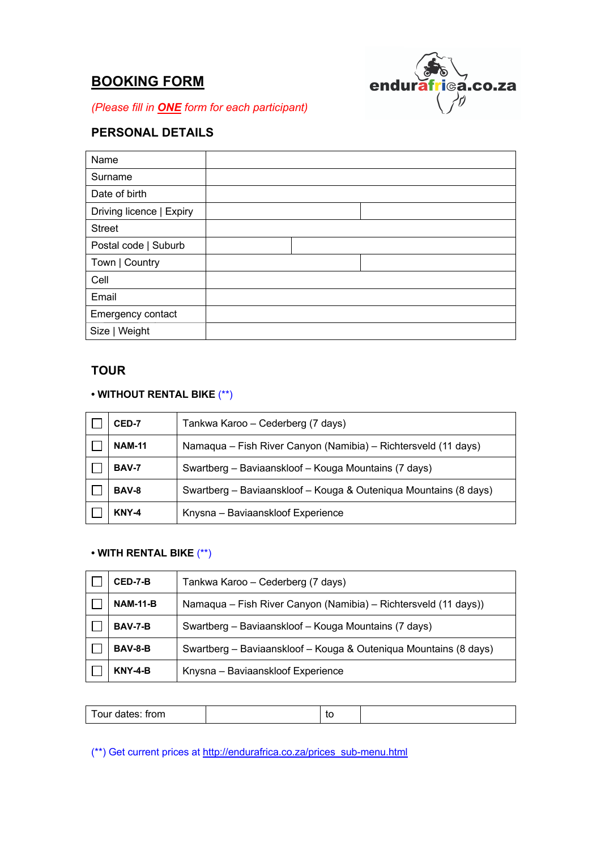# **BOOKING FORM**



*(Please fill in ONE form for each participant)*

# **PERSONAL DETAILS**

| Name                     |  |  |
|--------------------------|--|--|
| Surname                  |  |  |
| Date of birth            |  |  |
| Driving licence   Expiry |  |  |
| <b>Street</b>            |  |  |
| Postal code   Suburb     |  |  |
| Town   Country           |  |  |
| Cell                     |  |  |
| Email                    |  |  |
| Emergency contact        |  |  |
| Size   Weight            |  |  |

# **TOUR**

## **• WITHOUT RENTAL BIKE** (\*\*)

| CED-7         | Tankwa Karoo - Cederberg (7 days)                                |  |  |  |  |
|---------------|------------------------------------------------------------------|--|--|--|--|
| <b>NAM-11</b> | Namaqua – Fish River Canyon (Namibia) – Richtersveld (11 days)   |  |  |  |  |
| <b>BAV-7</b>  | Swartberg - Baviaanskloof - Kouga Mountains (7 days)             |  |  |  |  |
| <b>BAV-8</b>  | Swartberg - Baviaanskloof - Kouga & Outeniqua Mountains (8 days) |  |  |  |  |
| <b>KNY-4</b>  | Knysna - Baviaanskloof Experience                                |  |  |  |  |

# **• WITH RENTAL BIKE** (\*\*)

| CED-7-B         | Tankwa Karoo - Cederberg (7 days)                                |  |  |  |  |
|-----------------|------------------------------------------------------------------|--|--|--|--|
| <b>NAM-11-B</b> | Namaqua - Fish River Canyon (Namibia) - Richtersveld (11 days))  |  |  |  |  |
| <b>BAV-7-B</b>  | Swartberg - Baviaanskloof - Kouga Mountains (7 days)             |  |  |  |  |
| BAV-8-B         | Swartberg - Baviaanskloof - Kouga & Outeniqua Mountains (8 days) |  |  |  |  |
| <b>KNY-4-B</b>  | Knysna - Baviaanskloof Experience                                |  |  |  |  |

| Tour dates: from | ึ |  |
|------------------|---|--|
|                  |   |  |

(\*\*) Get current prices at http://endurafrica.co.za/prices\_sub-menu.html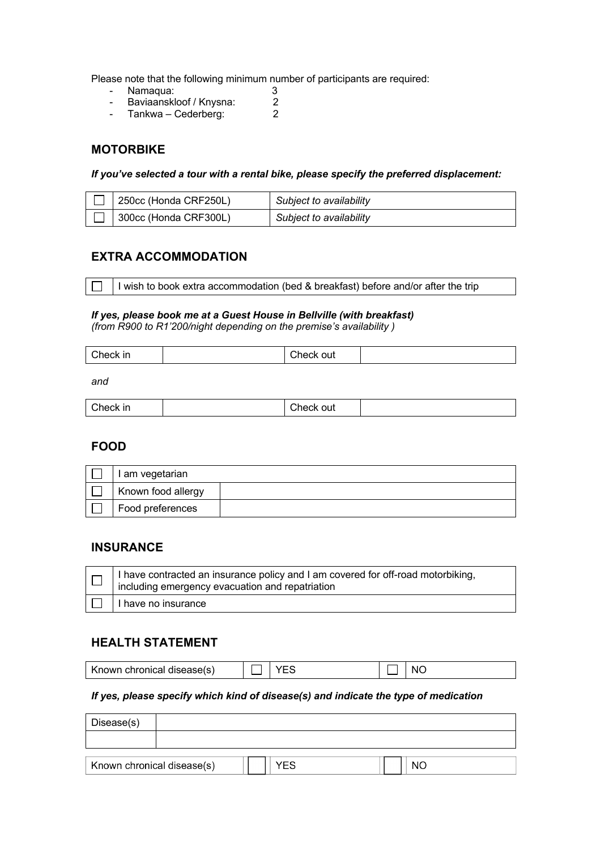Please note that the following minimum number of participants are required:

- Baviaanskloof / Knysna: 2 - Namaqua: 3
- Tankwa Cederberg: 2

### **MOTORBIKE**

*If you've selected a tour with a rental bike, please specify the preferred displacement:* 

| $\vert$ 250cc (Honda CRF250L) | Subject to availability |
|-------------------------------|-------------------------|
| $\vert$ 300cc (Honda CRF300L) | Subject to availability |

# **EXTRA ACCOMMODATION**

I wish to book extra accommodation (bed & breakfast) before and/or after the trip

#### *If yes, please book me at a Guest House in Bellville (with breakfast) (from R900 to R1'200/night depending on the premise's availability)*

| Check in | :heck |  |
|----------|-------|--|
|          | out   |  |

and

| Check in<br>$   -$ |  | out<br>∠heck<br>້ |  |
|--------------------|--|-------------------|--|
|--------------------|--|-------------------|--|

### **FOOD**

| I am vegetarian    |  |
|--------------------|--|
| Known food allergy |  |
| Food preferences   |  |

### **INSURANCE**

| T   I have contracted an insurance policy and I am covered for off-road motorbiking,<br>$\Box$ including emergency evacuation and repatriation |
|------------------------------------------------------------------------------------------------------------------------------------------------|
| I have no insurance                                                                                                                            |

### **HEALTH STATEMENT**

| chronical disease(s)<br>Known | $\sim$ | w. |
|-------------------------------|--------|----|
|                               |        |    |

### *If yes, please specify which kind of disease(s) and indicate the type of medication*

| Disease(s)                 |  |     |  |    |
|----------------------------|--|-----|--|----|
|                            |  |     |  |    |
|                            |  |     |  |    |
| Known chronical disease(s) |  | YES |  | NC |